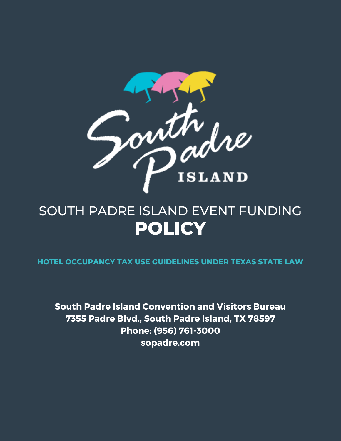

# **POLICY** SOUTH PADRE ISLAND EVENT FUNDING

**HOTEL OCCUPANCY TAX USE GUIDELINES UNDER TEXAS STATE LAW**

**South Padre Island Convention and Visitors Bureau 7355 Padre Blvd., South Padre Island, TX 78597 Phone: (956) 761-3000 sopadre.com**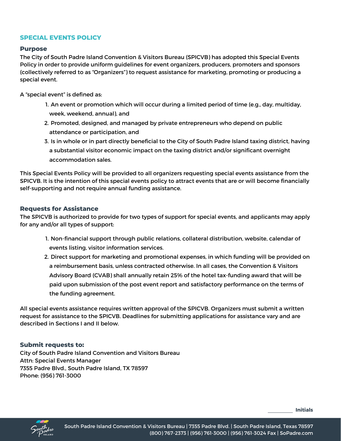# **SPECIAL EVENTS POLICY**

## **Purpose**

The City of South Padre Island Convention & Visitors Bureau (SPICVB) has adopted this Special Events Policy in order to provide uniform guidelines for event organizers, producers, promoters and sponsors (collectively referred to as "Organizers") to request assistance for marketing, promoting or producing a special event.

A "special event" is defined as:

- An event or promotion which will occur during a limited period of time (e.g., day, multiday, 1. week, weekend, annual), and
- 2. Promoted, designed, and managed by private entrepreneurs who depend on public attendance or participation, and
- 3. Is in whole or in part directly beneficial to the City of South Padre Island taxing district, having a substantial visitor economic impact on the taxing district and/or significant overnight accommodation sales.

This Special Events Policy will be provided to all organizers requesting special events assistance from the SPICVB. It is the intention of this special events policy to attract events that are or will become financially self-supporting and not require annual funding assistance.

## **Requests for Assistance**

The SPICVB is authorized to provide for two types of support for special events, and applicants may apply for any and/or all types of support:

- 1. Non-financial support through public relations, collateral distribution, website, calendar of events listing, visitor information services.
- 2. Direct support for marketing and promotional expenses, in which funding will be provided on a reimbursement basis, unless contracted otherwise. In all cases, the Convention & Visitors Advisory Board (CVAB) shall annually retain 25% of the hotel tax-funding award that will be paid upon submission of the post event report and satisfactory performance on the terms of the funding agreement.

All special events assistance requires written approval of the SPICVB. Organizers must submit a written request for assistance to the SPICVB. Deadlines for submitting applications for assistance vary and are described in Sections I and II below.

## **Submit requests to:**

City of South Padre Island Convention and Visitors Bureau Attn: Special Events Manager 7355 Padre Blvd., South Padre Island, TX 78597 Phone: (956) 761-3000

**Initials**

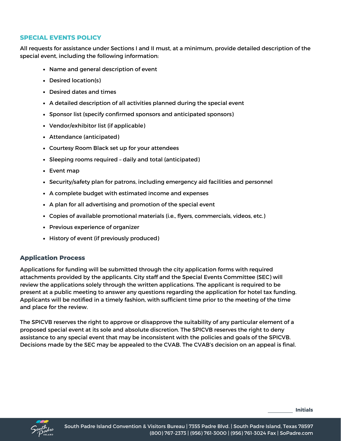# **SPECIAL EVENTS POLICY**

All requests for assistance under Sections I and II must, at a minimum, provide detailed description of the special event, including the following information:

- Name and general description of event
- Desired location(s)
- Desired dates and times
- A detailed description of all activities planned during the special event
- Sponsor list (specify confirmed sponsors and anticipated sponsors)
- Vendor/exhibitor list (if applicable)
- Attendance (anticipated)
- Courtesy Room Black set up for your attendees
- Sleeping rooms required daily and total (anticipated)
- Event map
- Security/safety plan for patrons, including emergency aid facilities and personnel
- A complete budget with estimated income and expenses
- A plan for all advertising and promotion of the special event
- Copies of available promotional materials (i.e., flyers, commercials, videos, etc.)
- Previous experience of organizer
- History of event (if previously produced)

# **Application Process**

Applications for funding will be submitted through the city application forms with required attachments provided by the applicants. City staff and the Special Events Committee (SEC) will review the applications solely through the written applications. The applicant is required to be present at a public meeting to answer any questions regarding the application for hotel tax funding. Applicants will be notified in a timely fashion, with sufficient time prior to the meeting of the time and place for the review.

The SPICVB reserves the right to approve or disapprove the suitability of any particular element of a proposed special event at its sole and absolute discretion. The SPICVB reserves the right to deny assistance to any special event that may be inconsistent with the policies and goals of the SPICVB. Decisions made by the SEC may be appealed to the CVAB. The CVAB's decision on an appeal is final.

**Initials**

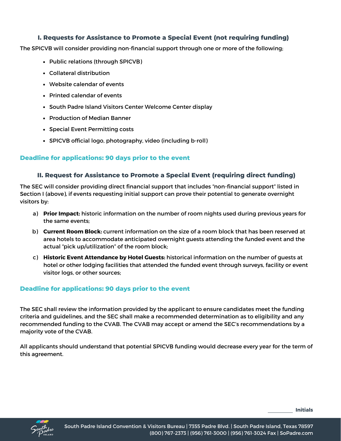# **I. Requests for Assistance to Promote a Special Event (not requiring funding)**

The SPICVB will consider providing non-financial support through one or more of the following;

- Public relations (through SPICVB)
- Collateral distribution
- Website calendar of events
- Printed calendar of events
- South Padre Island Visitors Center Welcome Center display
- Production of Median Banner
- Special Event Permitting costs
- SPICVB official logo, photography, video (including b-roll)

# **Deadline for applications: 90 days prior to the event**

## **II. Request for Assistance to Promote a Special Event (requiring direct funding)**

The SEC will consider providing direct financial support that includes "non-financial support" listed in Section I (above), if events requesting initial support can prove their potential to generate overnight visitors by:

- **Prior Impact:** historic information on the number of room nights used during previous years for a) the same events;
- **Current Room Block:** current information on the size of a room block that has been reserved at b) area hotels to accommodate anticipated overnight guests attending the funded event and the actual "pick up/utilization" of the room block;
- **Historic Event Attendance by Hotel Guests:** historical information on the number of guests at c) hotel or other lodging facilities that attended the funded event through surveys, facility or event visitor logs, or other sources;

# **Deadline for applications: 90 days prior to the event**

The SEC shall review the information provided by the applicant to ensure candidates meet the funding criteria and guidelines, and the SEC shall make a recommended determination as to eligibility and any recommended funding to the CVAB. The CVAB may accept or amend the SEC's recommendations by a majority vote of the CVAB.

All applicants should understand that potential SPICVB funding would decrease every year for the term of this agreement.

**Initials**

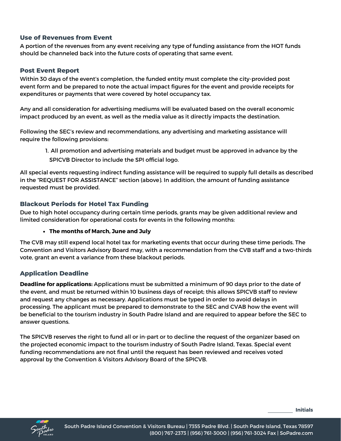# **Use of Revenues from Event**

A portion of the revenues from any event receiving any type of funding assistance from the HOT funds should be channeled back into the future costs of operating that same event.

# **Post Event Report**

Within 30 days of the event's completion, the funded entity must complete the city-provided post event form and be prepared to note the actual impact figures for the event and provide receipts for expenditures or payments that were covered by hotel occupancy tax.

Any and all consideration for advertising mediums will be evaluated based on the overall economic impact produced by an event, as well as the media value as it directly impacts the destination.

Following the SEC's review and recommendations, any advertising and marketing assistance will require the following provisions:

All promotion and advertising materials and budget must be approved in advance by the 1. SPICVB Director to include the SPI official logo.

All special events requesting indirect funding assistance will be required to supply full details as described in the "REQUEST FOR ASSISTANCE" section (above). In addition, the amount of funding assistance requested must be provided.

# **Blackout Periods for Hotel Tax Funding**

Due to high hotel occupancy during certain time periods, grants may be given additional review and limited consideration for operational costs for events in the following months:

## **The months of March, June and July**

The CVB may still expend local hotel tax for marketing events that occur during these time periods. The Convention and Visitors Advisory Board may, with a recommendation from the CVB staff and a two-thirds vote, grant an event a variance from these blackout periods.

## **Application Deadline**

**Deadline for applications:** Applications must be submitted a minimum of 90 days prior to the date of the event, and must be returned within 10 business days of receipt; this allows SPICVB staff to review and request any changes as necessary. Applications must be typed in order to avoid delays in processing. The applicant must be prepared to demonstrate to the SEC and CVAB how the event will be beneficial to the tourism industry in South Padre Island and are required to appear before the SEC to answer questions.

The SPICVB reserves the right to fund all or in-part or to decline the request of the organizer based on the projected economic impact to the tourism industry of South Padre Island, Texas. Special event funding recommendations are not final until the request has been reviewed and receives voted approval by the Convention & Visitors Advisory Board of the SPICVB.

**Initials**

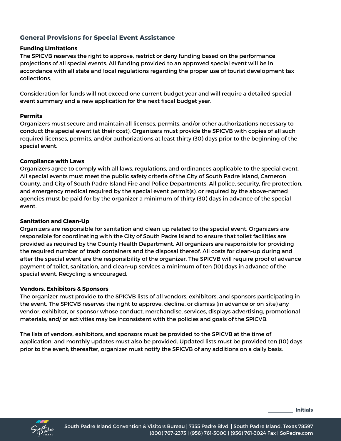# **General Provisions for Special Event Assistance**

## **Funding Limitations**

The SPICVB reserves the right to approve, restrict or deny funding based on the performance projections of all special events. All funding provided to an approved special event will be in accordance with all state and local regulations regarding the proper use of tourist development tax collections.

Consideration for funds will not exceed one current budget year and will require a detailed special event summary and a new application for the next fiscal budget year.

### **Permits**

Organizers must secure and maintain all licenses, permits, and/or other authorizations necessary to conduct the special event (at their cost). Organizers must provide the SPICVB with copies of all such required licenses, permits, and/or authorizations at least thirty (30) days prior to the beginning of the special event.

### **Compliance with Laws**

Organizers agree to comply with all laws, regulations, and ordinances applicable to the special event. All special events must meet the public safety criteria of the City of South Padre Island, Cameron County, and City of South Padre Island Fire and Police Departments. All police, security, fire protection, and emergency medical required by the special event permit(s), or required by the above-named agencies must be paid for by the organizer a minimum of thirty (30) days in advance of the special event.

#### **Sanitation and Clean-Up**

Organizers are responsible for sanitation and clean-up related to the special event. Organizers are responsible for coordinating with the City of South Padre Island to ensure that toilet facilities are provided as required by the County Health Department. All organizers are responsible for providing the required number of trash containers and the disposal thereof. All costs for clean-up during and after the special event are the responsibility of the organizer. The SPICVB will require proof of advance payment of toilet, sanitation, and clean-up services a minimum of ten (10) days in advance of the special event. Recycling is encouraged.

#### **Vendors, Exhibitors & Sponsors**

The organizer must provide to the SPICVB lists of all vendors, exhibitors, and sponsors participating in the event. The SPICVB reserves the right to approve, decline, or dismiss (in advance or on-site) any vendor, exhibitor, or sponsor whose conduct, merchandise, services, displays advertising, promotional materials, and/ or activities may be inconsistent with the policies and goals of the SPICVB.

The lists of vendors, exhibitors, and sponsors must be provided to the SPICVB at the time of application, and monthly updates must also be provided. Updated lists must be provided ten (10) days prior to the event; thereafter, organizer must notify the SPICVB of any additions on a daily basis.

**Initials**

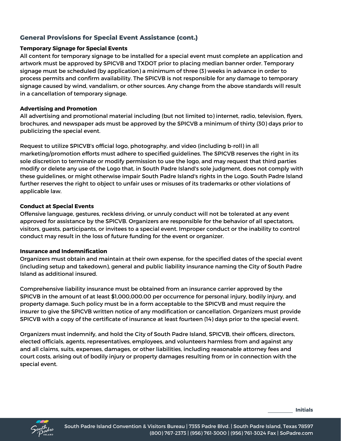# **General Provisions for Special Event Assistance (cont.)**

## **Temporary Signage for Special Events**

All content for temporary signage to be installed for a special event must complete an application and artwork must be approved by SPICVB and TXDOT prior to placing median banner order. Temporary signage must be scheduled (by application) a minimum of three (3) weeks in advance in order to process permits and confirm availability. The SPICVB is not responsible for any damage to temporary signage caused by wind, vandalism, or other sources. Any change from the above standards will result in a cancellation of temporary signage.

## **Advertising and Promotion**

All advertising and promotional material including (but not limited to) internet, radio, television, flyers, brochures, and newspaper ads must be approved by the SPICVB a minimum of thirty (30) days prior to publicizing the special event.

Request to utilize SPICVB's official logo, photography, and video (including b-roll) in all marketing/promotion efforts must adhere to specified guidelines. The SPICVB reserves the right in its sole discretion to terminate or modify permission to use the logo, and may request that third parties modify or delete any use of the Logo that, in South Padre Island's sole judgment, does not comply with these guidelines, or might otherwise impair South Padre Island's rights in the Logo. South Padre Island further reserves the right to object to unfair uses or misuses of its trademarks or other violations of applicable law.

## **Conduct at Special Events**

Offensive language, gestures, reckless driving, or unruly conduct will not be tolerated at any event approved for assistance by the SPICVB. Organizers are responsible for the behavior of all spectators, visitors, guests, participants, or invitees to a special event. Improper conduct or the inability to control conduct may result in the loss of future funding for the event or organizer.

## **Insurance and Indemnification**

Organizers must obtain and maintain at their own expense, for the specified dates of the special event (including setup and takedown), general and public liability insurance naming the City of South Padre Island as additional insured.

Comprehensive liability insurance must be obtained from an insurance carrier approved by the SPICVB in the amount of at least \$1,000,000.00 per occurrence for personal injury, bodily injury, and property damage. Such policy must be in a form acceptable to the SPICVB and must require the insurer to give the SPICVB written notice of any modification or cancellation. Organizers must provide SPICVB with a copy of the certificate of insurance at least fourteen (14) days prior to the special event.

Organizers must indemnify, and hold the City of South Padre Island, SPICVB, their officers, directors, elected officials, agents, representatives, employees, and volunteers harmless from and against any and all claims, suits, expenses, damages, or other liabilities, including reasonable attorney fees and court costs, arising out of bodily injury or property damages resulting from or in connection with the special event.

**Initials**